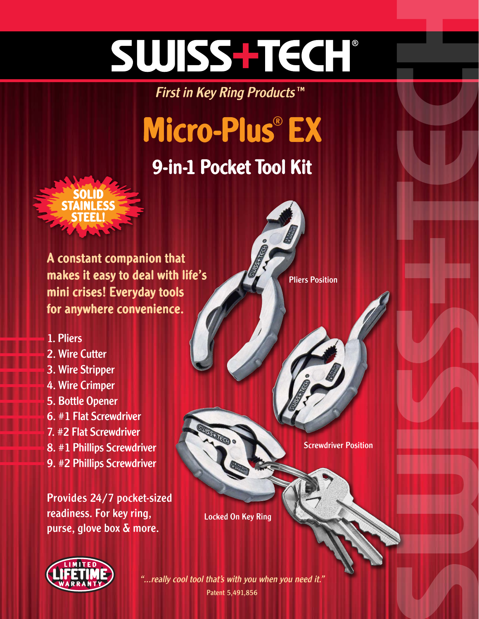# SWISS-TECH

First in Key Ring Products™

## Micro-Plus® EX

### 9-in-1 Pocket Tool Kit



A constant companion that makes it easy to deal with life's mini crises! Everyday tools for anywhere convenience.

### 1. Pliers

### 2. Wire Cutter

- 3. Wire Stripper
- 4. Wire Crimper
- 5. Bottle Opener
- 6. #1 Flat Screwdriver
- 7. #2 Flat Screwdriver
- 8. #1 Phillips Screwdriver
- 9. #2 Phillips Screwdriver

Provides 24/7 pocket-sized readiness. For key ring, purse, glove box & more.

Pliers Position

Screwdriver Position

Locked On Key Ring



Patent 5,491,856 "...really cool tool that's with you when you need it."